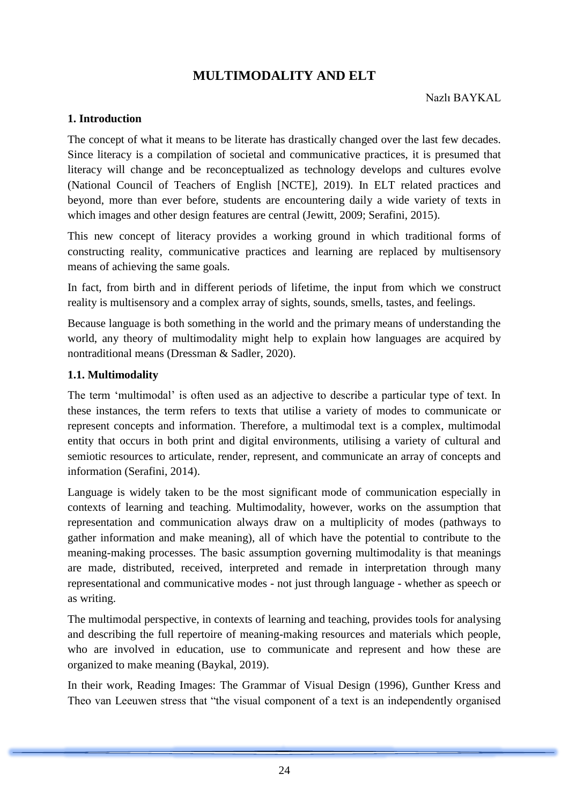### **1. Introduction**

The concept of what it means to be literate has drastically changed over the last few decades. Since literacy is a compilation of societal and communicative practices, it is presumed that literacy will change and be reconceptualized as technology develops and cultures evolve (National Council of Teachers of English [NCTE], 2019). In ELT related practices and beyond, more than ever before, students are encountering daily a wide variety of texts in which images and other design features are central (Jewitt, 2009; Serafini, 2015).

This new concept of literacy provides a working ground in which traditional forms of constructing reality, communicative practices and learning are replaced by multisensory means of achieving the same goals.

In fact, from birth and in different periods of lifetime, the input from which we construct reality is multisensory and a complex array of sights, sounds, smells, tastes, and feelings.

Because language is both something in the world and the primary means of understanding the world, any theory of multimodality might help to explain how languages are acquired by nontraditional means (Dressman & Sadler, 2020).

### **1.1. Multimodality**

The term 'multimodal' is often used as an adjective to describe a particular type of text. In these instances, the term refers to texts that utilise a variety of modes to communicate or represent concepts and information. Therefore, a multimodal text is a complex, multimodal entity that occurs in both print and digital environments, utilising a variety of cultural and semiotic resources to articulate, render, represent, and communicate an array of concepts and information (Serafini, 2014).

Language is widely taken to be the most significant mode of communication especially in contexts of learning and teaching. Multimodality, however, works on the assumption that representation and communication always draw on a multiplicity of modes (pathways to gather information and make meaning), all of which have the potential to contribute to the meaning-making processes. The basic assumption governing multimodality is that meanings are made, distributed, received, interpreted and remade in interpretation through many representational and communicative modes - not just through language - whether as speech or as writing.

The multimodal perspective, in contexts of learning and teaching, provides tools for analysing and describing the full repertoire of meaning-making resources and materials which people, who are involved in education, use to communicate and represent and how these are organized to make meaning (Baykal, 2019).

In their work, Reading Images: The Grammar of Visual Design (1996), Gunther Kress and Theo van Leeuwen stress that "the visual component of a text is an independently organised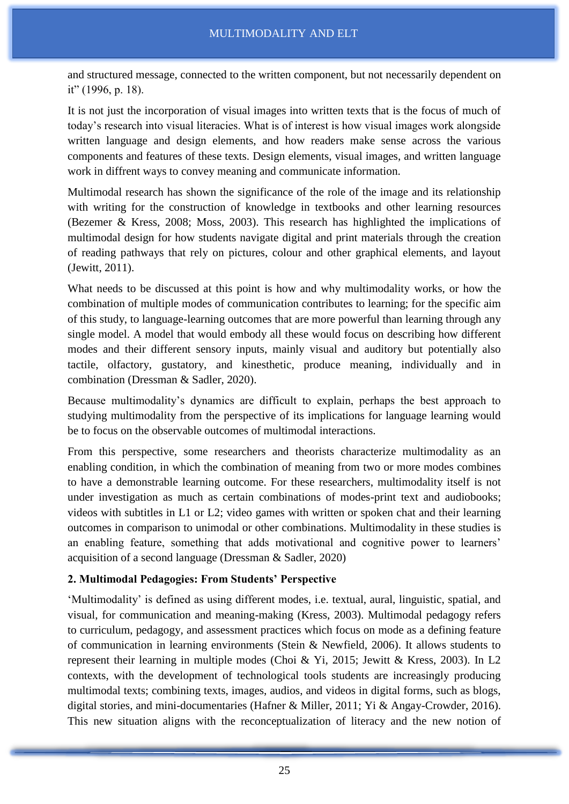and structured message, connected to the written component, but not necessarily dependent on it" (1996, p. 18).

It is not just the incorporation of visual images into written texts that is the focus of much of today's research into visual literacies. What is of interest is how visual images work alongside written language and design elements, and how readers make sense across the various components and features of these texts. Design elements, visual images, and written language work in diffrent ways to convey meaning and communicate information.

Multimodal research has shown the significance of the role of the image and its relationship with writing for the construction of knowledge in textbooks and other learning resources (Bezemer & Kress, 2008; Moss, 2003). This research has highlighted the implications of multimodal design for how students navigate digital and print materials through the creation of reading pathways that rely on pictures, colour and other graphical elements, and layout (Jewitt, 2011).

What needs to be discussed at this point is how and why multimodality works, or how the combination of multiple modes of communication contributes to learning; for the specific aim of this study, to language-learning outcomes that are more powerful than learning through any single model. A model that would embody all these would focus on describing how different modes and their different sensory inputs, mainly visual and auditory but potentially also tactile, olfactory, gustatory, and kinesthetic, produce meaning, individually and in combination (Dressman & Sadler, 2020).

Because multimodality's dynamics are difficult to explain, perhaps the best approach to studying multimodality from the perspective of its implications for language learning would be to focus on the observable outcomes of multimodal interactions.

From this perspective, some researchers and theorists characterize multimodality as an enabling condition, in which the combination of meaning from two or more modes combines to have a demonstrable learning outcome. For these researchers, multimodality itself is not under investigation as much as certain combinations of modes-print text and audiobooks; videos with subtitles in L1 or L2; video games with written or spoken chat and their learning outcomes in comparison to unimodal or other combinations. Multimodality in these studies is an enabling feature, something that adds motivational and cognitive power to learners' acquisition of a second language (Dressman & Sadler, 2020)

# **2. Multimodal Pedagogies: From Students' Perspective**

'Multimodality' is defined as using different modes, i.e. textual, aural, linguistic, spatial, and visual, for communication and meaning-making (Kress, 2003). Multimodal pedagogy refers to curriculum, pedagogy, and assessment practices which focus on mode as a defining feature of communication in learning environments (Stein & Newfield, 2006). It allows students to represent their learning in multiple modes (Choi & Yi, 2015; Jewitt & Kress, 2003). In L2 contexts, with the development of technological tools students are increasingly producing multimodal texts; combining texts, images, audios, and videos in digital forms, such as blogs, digital stories, and mini-documentaries (Hafner & Miller, 2011; Yi & Angay-Crowder, 2016). This new situation aligns with the reconceptualization of literacy and the new notion of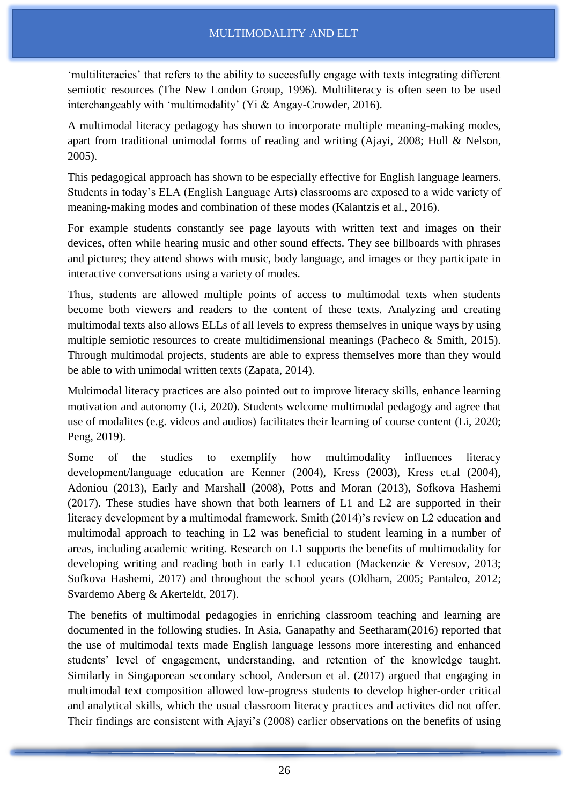'multiliteracies' that refers to the ability to succesfully engage with texts integrating different semiotic resources (The New London Group, 1996). Multiliteracy is often seen to be used interchangeably with 'multimodality' (Yi & Angay-Crowder, 2016).

A multimodal literacy pedagogy has shown to incorporate multiple meaning-making modes, apart from traditional unimodal forms of reading and writing (Ajayi, 2008; Hull & Nelson, 2005).

This pedagogical approach has shown to be especially effective for English language learners. Students in today's ELA (English Language Arts) classrooms are exposed to a wide variety of meaning-making modes and combination of these modes (Kalantzis et al., 2016).

For example students constantly see page layouts with written text and images on their devices, often while hearing music and other sound effects. They see billboards with phrases and pictures; they attend shows with music, body language, and images or they participate in interactive conversations using a variety of modes.

Thus, students are allowed multiple points of access to multimodal texts when students become both viewers and readers to the content of these texts. Analyzing and creating multimodal texts also allows ELLs of all levels to express themselves in unique ways by using multiple semiotic resources to create multidimensional meanings (Pacheco & Smith, 2015). Through multimodal projects, students are able to express themselves more than they would be able to with unimodal written texts (Zapata, 2014).

Multimodal literacy practices are also pointed out to improve literacy skills, enhance learning motivation and autonomy (Li, 2020). Students welcome multimodal pedagogy and agree that use of modalites (e.g. videos and audios) facilitates their learning of course content (Li, 2020; Peng, 2019).

Some of the studies to exemplify how multimodality influences literacy development/language education are Kenner (2004), Kress (2003), Kress et.al (2004), Adoniou (2013), Early and Marshall (2008), Potts and Moran (2013), Sofkova Hashemi (2017). These studies have shown that both learners of L1 and L2 are supported in their literacy development by a multimodal framework. Smith (2014)'s review on L2 education and multimodal approach to teaching in L2 was beneficial to student learning in a number of areas, including academic writing. Research on L1 supports the benefits of multimodality for developing writing and reading both in early L1 education (Mackenzie & Veresov, 2013; Sofkova Hashemi, 2017) and throughout the school years (Oldham, 2005; Pantaleo, 2012; Svardemo Aberg & Akerteldt, 2017).

The benefits of multimodal pedagogies in enriching classroom teaching and learning are documented in the following studies. In Asia, Ganapathy and Seetharam(2016) reported that the use of multimodal texts made English language lessons more interesting and enhanced students' level of engagement, understanding, and retention of the knowledge taught. Similarly in Singaporean secondary school, Anderson et al. (2017) argued that engaging in multimodal text composition allowed low-progress students to develop higher-order critical and analytical skills, which the usual classroom literacy practices and activites did not offer. Their findings are consistent with Ajayi's (2008) earlier observations on the benefits of using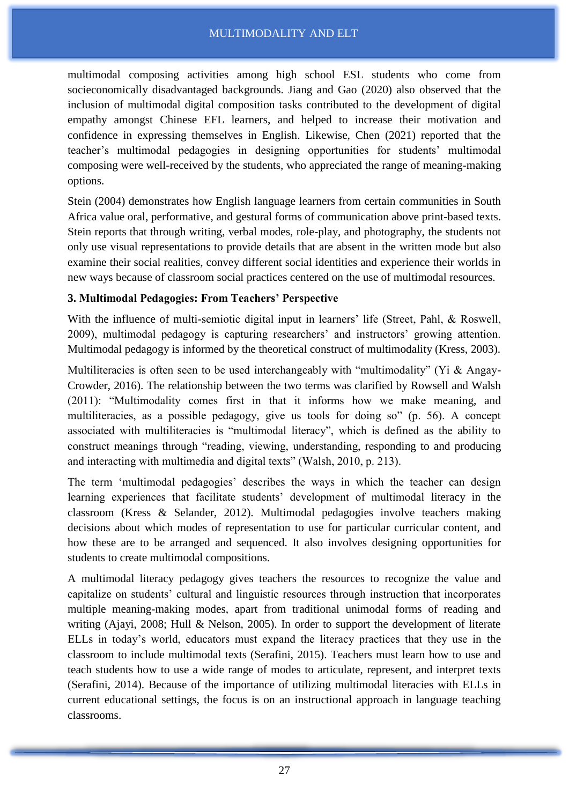multimodal composing activities among high school ESL students who come from socieconomically disadvantaged backgrounds. Jiang and Gao (2020) also observed that the inclusion of multimodal digital composition tasks contributed to the development of digital empathy amongst Chinese EFL learners, and helped to increase their motivation and confidence in expressing themselves in English. Likewise, Chen (2021) reported that the teacher's multimodal pedagogies in designing opportunities for students' multimodal composing were well-received by the students, who appreciated the range of meaning-making options.

Stein (2004) demonstrates how English language learners from certain communities in South Africa value oral, performative, and gestural forms of communication above print-based texts. Stein reports that through writing, verbal modes, role-play, and photography, the students not only use visual representations to provide details that are absent in the written mode but also examine their social realities, convey different social identities and experience their worlds in new ways because of classroom social practices centered on the use of multimodal resources.

# **3. Multimodal Pedagogies: From Teachers' Perspective**

With the influence of multi-semiotic digital input in learners' life (Street, Pahl, & Roswell, 2009), multimodal pedagogy is capturing researchers' and instructors' growing attention. Multimodal pedagogy is informed by the theoretical construct of multimodality (Kress, 2003).

Multiliteracies is often seen to be used interchangeably with "multimodality" (Yi & Angay-Crowder, 2016). The relationship between the two terms was clarified by Rowsell and Walsh (2011): "Multimodality comes first in that it informs how we make meaning, and multiliteracies, as a possible pedagogy, give us tools for doing so" (p. 56). A concept associated with multiliteracies is "multimodal literacy", which is defined as the ability to construct meanings through "reading, viewing, understanding, responding to and producing and interacting with multimedia and digital texts" (Walsh, 2010, p. 213).

The term 'multimodal pedagogies' describes the ways in which the teacher can design learning experiences that facilitate students' development of multimodal literacy in the classroom (Kress & Selander, 2012). Multimodal pedagogies involve teachers making decisions about which modes of representation to use for particular curricular content, and how these are to be arranged and sequenced. It also involves designing opportunities for students to create multimodal compositions.

A multimodal literacy pedagogy gives teachers the resources to recognize the value and capitalize on students' cultural and linguistic resources through instruction that incorporates multiple meaning-making modes, apart from traditional unimodal forms of reading and writing (Ajayi, 2008; Hull & Nelson, 2005). In order to support the development of literate ELLs in today's world, educators must expand the literacy practices that they use in the classroom to include multimodal texts (Serafini, 2015). Teachers must learn how to use and teach students how to use a wide range of modes to articulate, represent, and interpret texts (Serafini, 2014). Because of the importance of utilizing multimodal literacies with ELLs in current educational settings, the focus is on an instructional approach in language teaching classrooms.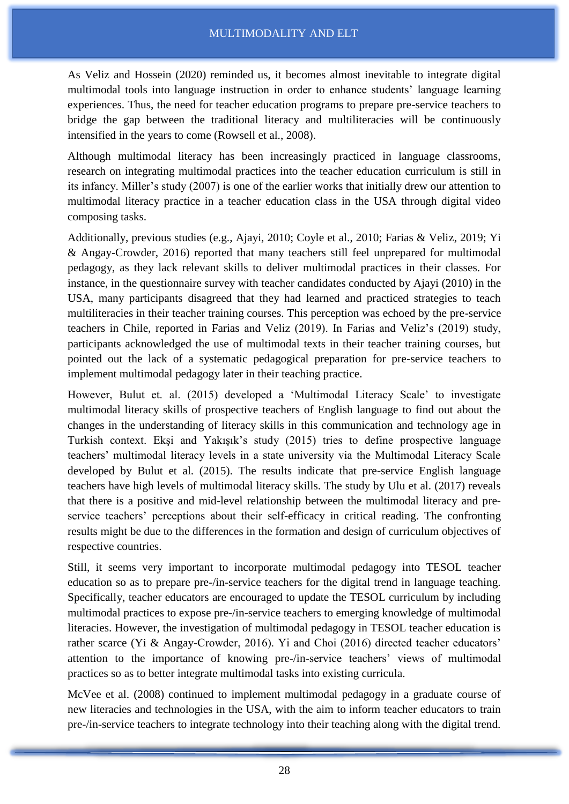As Veliz and Hossein (2020) reminded us, it becomes almost inevitable to integrate digital multimodal tools into language instruction in order to enhance students' language learning experiences. Thus, the need for teacher education programs to prepare pre-service teachers to bridge the gap between the traditional literacy and multiliteracies will be continuously intensified in the years to come (Rowsell et al., 2008).

Although multimodal literacy has been increasingly practiced in language classrooms, research on integrating multimodal practices into the teacher education curriculum is still in its infancy. Miller's study (2007) is one of the earlier works that initially drew our attention to multimodal literacy practice in a teacher education class in the USA through digital video composing tasks.

Additionally, previous studies (e.g., Ajayi, 2010; Coyle et al., 2010; Farias & Veliz, 2019; Yi & Angay-Crowder, 2016) reported that many teachers still feel unprepared for multimodal pedagogy, as they lack relevant skills to deliver multimodal practices in their classes. For instance, in the questionnaire survey with teacher candidates conducted by Ajayi (2010) in the USA, many participants disagreed that they had learned and practiced strategies to teach multiliteracies in their teacher training courses. This perception was echoed by the pre-service teachers in Chile, reported in Farias and Veliz (2019). In Farias and Veliz's (2019) study, participants acknowledged the use of multimodal texts in their teacher training courses, but pointed out the lack of a systematic pedagogical preparation for pre-service teachers to implement multimodal pedagogy later in their teaching practice.

However, Bulut et. al. (2015) developed a 'Multimodal Literacy Scale' to investigate multimodal literacy skills of prospective teachers of English language to find out about the changes in the understanding of literacy skills in this communication and technology age in Turkish context. Ekşi and Yakışık's study (2015) tries to define prospective language teachers' multimodal literacy levels in a state university via the Multimodal Literacy Scale developed by Bulut et al. (2015). The results indicate that pre-service English language teachers have high levels of multimodal literacy skills. The study by Ulu et al. (2017) reveals that there is a positive and mid-level relationship between the multimodal literacy and preservice teachers' perceptions about their self-efficacy in critical reading. The confronting results might be due to the differences in the formation and design of curriculum objectives of respective countries.

Still, it seems very important to incorporate multimodal pedagogy into TESOL teacher education so as to prepare pre-/in-service teachers for the digital trend in language teaching. Specifically, teacher educators are encouraged to update the TESOL curriculum by including multimodal practices to expose pre-/in-service teachers to emerging knowledge of multimodal literacies. However, the investigation of multimodal pedagogy in TESOL teacher education is rather scarce (Yi & Angay-Crowder, 2016). Yi and Choi (2016) directed teacher educators' attention to the importance of knowing pre-/in-service teachers' views of multimodal practices so as to better integrate multimodal tasks into existing curricula.

McVee et al. (2008) continued to implement multimodal pedagogy in a graduate course of new literacies and technologies in the USA, with the aim to inform teacher educators to train pre-/in-service teachers to integrate technology into their teaching along with the digital trend.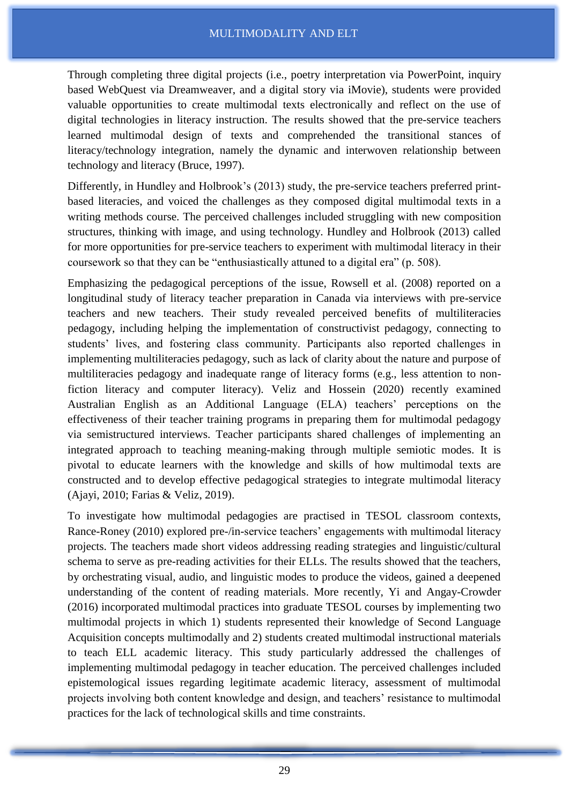Through completing three digital projects (i.e., poetry interpretation via PowerPoint, inquiry based WebQuest via Dreamweaver, and a digital story via iMovie), students were provided valuable opportunities to create multimodal texts electronically and reflect on the use of digital technologies in literacy instruction. The results showed that the pre-service teachers learned multimodal design of texts and comprehended the transitional stances of literacy/technology integration, namely the dynamic and interwoven relationship between technology and literacy (Bruce, 1997).

Differently, in Hundley and Holbrook's (2013) study, the pre-service teachers preferred printbased literacies, and voiced the challenges as they composed digital multimodal texts in a writing methods course. The perceived challenges included struggling with new composition structures, thinking with image, and using technology. Hundley and Holbrook (2013) called for more opportunities for pre-service teachers to experiment with multimodal literacy in their coursework so that they can be "enthusiastically attuned to a digital era" (p. 508).

Emphasizing the pedagogical perceptions of the issue, Rowsell et al. (2008) reported on a longitudinal study of literacy teacher preparation in Canada via interviews with pre-service teachers and new teachers. Their study revealed perceived benefits of multiliteracies pedagogy, including helping the implementation of constructivist pedagogy, connecting to students' lives, and fostering class community. Participants also reported challenges in implementing multiliteracies pedagogy, such as lack of clarity about the nature and purpose of multiliteracies pedagogy and inadequate range of literacy forms (e.g., less attention to nonfiction literacy and computer literacy). Veliz and Hossein (2020) recently examined Australian English as an Additional Language (ELA) teachers' perceptions on the effectiveness of their teacher training programs in preparing them for multimodal pedagogy via semistructured interviews. Teacher participants shared challenges of implementing an integrated approach to teaching meaning-making through multiple semiotic modes. It is pivotal to educate learners with the knowledge and skills of how multimodal texts are constructed and to develop effective pedagogical strategies to integrate multimodal literacy (Ajayi, 2010; Farias & Veliz, 2019).

To investigate how multimodal pedagogies are practised in TESOL classroom contexts, Rance-Roney (2010) explored pre-/in-service teachers' engagements with multimodal literacy projects. The teachers made short videos addressing reading strategies and linguistic/cultural schema to serve as pre-reading activities for their ELLs. The results showed that the teachers, by orchestrating visual, audio, and linguistic modes to produce the videos, gained a deepened understanding of the content of reading materials. More recently, Yi and Angay-Crowder (2016) incorporated multimodal practices into graduate TESOL courses by implementing two multimodal projects in which 1) students represented their knowledge of Second Language Acquisition concepts multimodally and 2) students created multimodal instructional materials to teach ELL academic literacy. This study particularly addressed the challenges of implementing multimodal pedagogy in teacher education. The perceived challenges included epistemological issues regarding legitimate academic literacy, assessment of multimodal projects involving both content knowledge and design, and teachers' resistance to multimodal practices for the lack of technological skills and time constraints.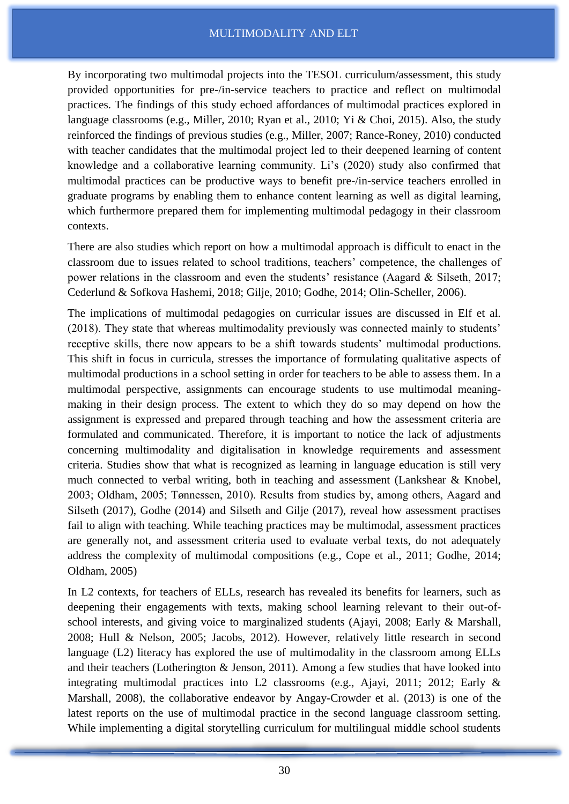By incorporating two multimodal projects into the TESOL curriculum/assessment, this study provided opportunities for pre-/in-service teachers to practice and reflect on multimodal practices. The findings of this study echoed affordances of multimodal practices explored in language classrooms (e.g., Miller, 2010; Ryan et al., 2010; Yi & Choi, 2015). Also, the study reinforced the findings of previous studies (e.g., Miller, 2007; Rance-Roney, 2010) conducted with teacher candidates that the multimodal project led to their deepened learning of content knowledge and a collaborative learning community. Li's (2020) study also confirmed that multimodal practices can be productive ways to benefit pre-/in-service teachers enrolled in graduate programs by enabling them to enhance content learning as well as digital learning, which furthermore prepared them for implementing multimodal pedagogy in their classroom contexts.

There are also studies which report on how a multimodal approach is difficult to enact in the classroom due to issues related to school traditions, teachers' competence, the challenges of power relations in the classroom and even the students' resistance (Aagard & Silseth, 2017; Cederlund & Sofkova Hashemi, 2018; Gilje, 2010; Godhe, 2014; Olin-Scheller, 2006).

The implications of multimodal pedagogies on curricular issues are discussed in Elf et al. (2018). They state that whereas multimodality previously was connected mainly to students' receptive skills, there now appears to be a shift towards students' multimodal productions. This shift in focus in curricula, stresses the importance of formulating qualitative aspects of multimodal productions in a school setting in order for teachers to be able to assess them. In a multimodal perspective, assignments can encourage students to use multimodal meaningmaking in their design process. The extent to which they do so may depend on how the assignment is expressed and prepared through teaching and how the assessment criteria are formulated and communicated. Therefore, it is important to notice the lack of adjustments concerning multimodality and digitalisation in knowledge requirements and assessment criteria. Studies show that what is recognized as learning in language education is still very much connected to verbal writing, both in teaching and assessment (Lankshear & Knobel, 2003; Oldham, 2005; Tønnessen, 2010). Results from studies by, among others, Aagard and Silseth (2017), Godhe (2014) and Silseth and Gilje (2017), reveal how assessment practises fail to align with teaching. While teaching practices may be multimodal, assessment practices are generally not, and assessment criteria used to evaluate verbal texts, do not adequately address the complexity of multimodal compositions (e.g., Cope et al., 2011; Godhe, 2014; Oldham, 2005)

In L2 contexts, for teachers of ELLs, research has revealed its benefits for learners, such as deepening their engagements with texts, making school learning relevant to their out-ofschool interests, and giving voice to marginalized students (Ajayi, 2008; Early & Marshall, 2008; Hull & Nelson, 2005; Jacobs, 2012). However, relatively little research in second language (L2) literacy has explored the use of multimodality in the classroom among ELLs and their teachers (Lotherington & Jenson, 2011). Among a few studies that have looked into integrating multimodal practices into L2 classrooms (e.g., Ajayi, 2011; 2012; Early & Marshall, 2008), the collaborative endeavor by Angay-Crowder et al. (2013) is one of the latest reports on the use of multimodal practice in the second language classroom setting. While implementing a digital storytelling curriculum for multilingual middle school students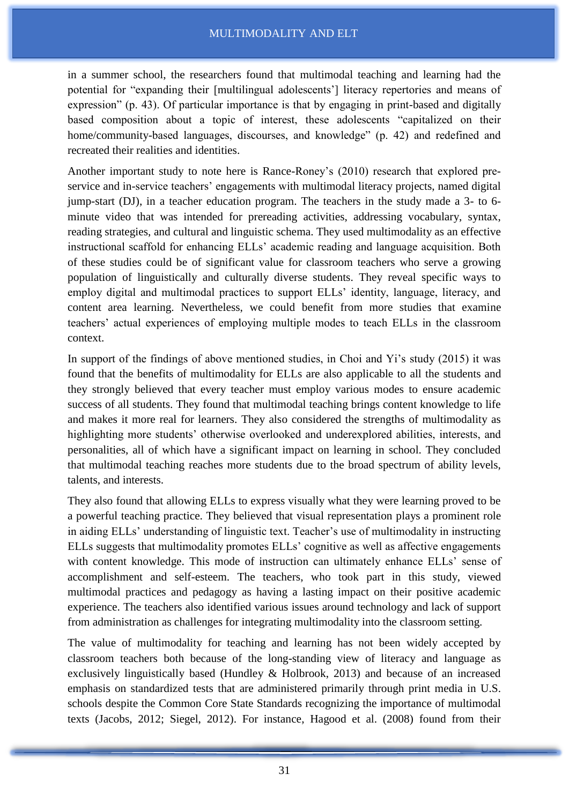in a summer school, the researchers found that multimodal teaching and learning had the potential for "expanding their [multilingual adolescents'] literacy repertories and means of expression" (p. 43). Of particular importance is that by engaging in print-based and digitally based composition about a topic of interest, these adolescents "capitalized on their home/community-based languages, discourses, and knowledge" (p. 42) and redefined and recreated their realities and identities.

Another important study to note here is Rance-Roney's (2010) research that explored preservice and in-service teachers' engagements with multimodal literacy projects, named digital jump-start (DJ), in a teacher education program. The teachers in the study made a 3- to 6 minute video that was intended for prereading activities, addressing vocabulary, syntax, reading strategies, and cultural and linguistic schema. They used multimodality as an effective instructional scaffold for enhancing ELLs' academic reading and language acquisition. Both of these studies could be of significant value for classroom teachers who serve a growing population of linguistically and culturally diverse students. They reveal specific ways to employ digital and multimodal practices to support ELLs' identity, language, literacy, and content area learning. Nevertheless, we could benefit from more studies that examine teachers' actual experiences of employing multiple modes to teach ELLs in the classroom context.

In support of the findings of above mentioned studies, in Choi and Yi's study (2015) it was found that the benefits of multimodality for ELLs are also applicable to all the students and they strongly believed that every teacher must employ various modes to ensure academic success of all students. They found that multimodal teaching brings content knowledge to life and makes it more real for learners. They also considered the strengths of multimodality as highlighting more students' otherwise overlooked and underexplored abilities, interests, and personalities, all of which have a significant impact on learning in school. They concluded that multimodal teaching reaches more students due to the broad spectrum of ability levels, talents, and interests.

They also found that allowing ELLs to express visually what they were learning proved to be a powerful teaching practice. They believed that visual representation plays a prominent role in aiding ELLs' understanding of linguistic text. Teacher's use of multimodality in instructing ELLs suggests that multimodality promotes ELLs' cognitive as well as affective engagements with content knowledge. This mode of instruction can ultimately enhance ELLs' sense of accomplishment and self-esteem. The teachers, who took part in this study, viewed multimodal practices and pedagogy as having a lasting impact on their positive academic experience. The teachers also identified various issues around technology and lack of support from administration as challenges for integrating multimodality into the classroom setting.

The value of multimodality for teaching and learning has not been widely accepted by classroom teachers both because of the long-standing view of literacy and language as exclusively linguistically based (Hundley & Holbrook, 2013) and because of an increased emphasis on standardized tests that are administered primarily through print media in U.S. schools despite the Common Core State Standards recognizing the importance of multimodal texts (Jacobs, 2012; Siegel, 2012). For instance, Hagood et al. (2008) found from their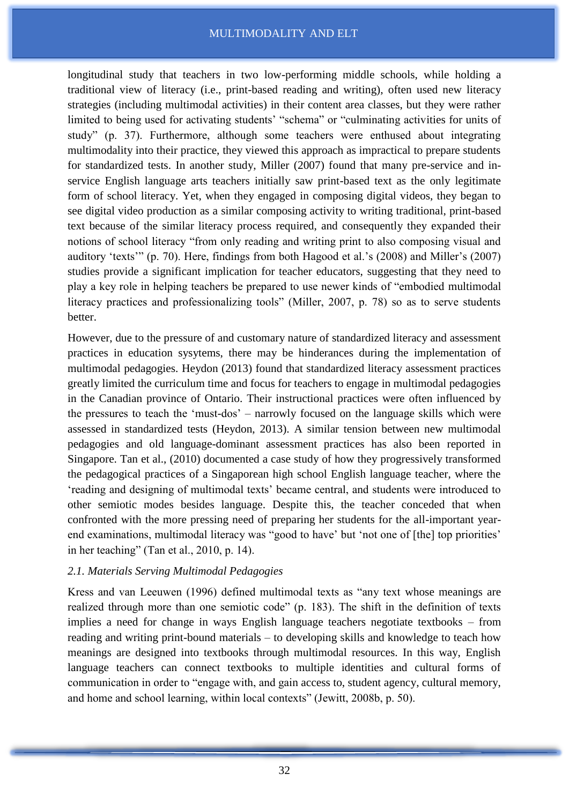longitudinal study that teachers in two low-performing middle schools, while holding a traditional view of literacy (i.e., print-based reading and writing), often used new literacy strategies (including multimodal activities) in their content area classes, but they were rather limited to being used for activating students' "schema" or "culminating activities for units of study" (p. 37). Furthermore, although some teachers were enthused about integrating multimodality into their practice, they viewed this approach as impractical to prepare students for standardized tests. In another study, Miller (2007) found that many pre-service and inservice English language arts teachers initially saw print-based text as the only legitimate form of school literacy. Yet, when they engaged in composing digital videos, they began to see digital video production as a similar composing activity to writing traditional, print-based text because of the similar literacy process required, and consequently they expanded their notions of school literacy "from only reading and writing print to also composing visual and auditory 'texts'" (p. 70). Here, findings from both Hagood et al.'s (2008) and Miller's (2007) studies provide a significant implication for teacher educators, suggesting that they need to play a key role in helping teachers be prepared to use newer kinds of "embodied multimodal literacy practices and professionalizing tools" (Miller, 2007, p. 78) so as to serve students better.

However, due to the pressure of and customary nature of standardized literacy and assessment practices in education sysytems, there may be hinderances during the implementation of multimodal pedagogies. Heydon (2013) found that standardized literacy assessment practices greatly limited the curriculum time and focus for teachers to engage in multimodal pedagogies in the Canadian province of Ontario. Their instructional practices were often influenced by the pressures to teach the 'must-dos' – narrowly focused on the language skills which were assessed in standardized tests (Heydon, 2013). A similar tension between new multimodal pedagogies and old language-dominant assessment practices has also been reported in Singapore. Tan et al., (2010) documented a case study of how they progressively transformed the pedagogical practices of a Singaporean high school English language teacher, where the 'reading and designing of multimodal texts' became central, and students were introduced to other semiotic modes besides language. Despite this, the teacher conceded that when confronted with the more pressing need of preparing her students for the all-important yearend examinations, multimodal literacy was "good to have' but 'not one of [the] top priorities' in her teaching" (Tan et al., 2010, p. 14).

#### *2.1. Materials Serving Multimodal Pedagogies*

Kress and van Leeuwen (1996) defined multimodal texts as "any text whose meanings are realized through more than one semiotic code" (p. 183). The shift in the definition of texts implies a need for change in ways English language teachers negotiate textbooks – from reading and writing print-bound materials – to developing skills and knowledge to teach how meanings are designed into textbooks through multimodal resources. In this way, English language teachers can connect textbooks to multiple identities and cultural forms of communication in order to "engage with, and gain access to, student agency, cultural memory, and home and school learning, within local contexts" (Jewitt, 2008b, p. 50).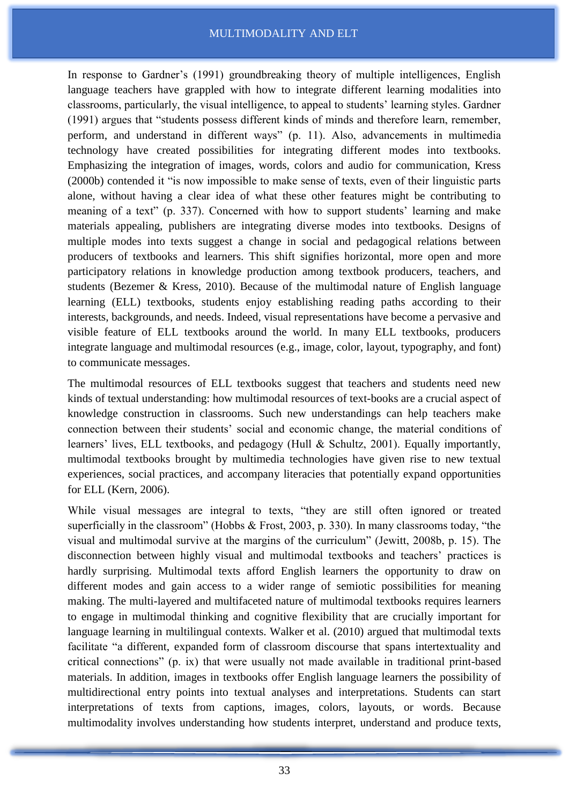In response to Gardner's (1991) groundbreaking theory of multiple intelligences, English language teachers have grappled with how to integrate different learning modalities into classrooms, particularly, the visual intelligence, to appeal to students' learning styles. Gardner (1991) argues that "students possess different kinds of minds and therefore learn, remember, perform, and understand in different ways" (p. 11). Also, advancements in multimedia technology have created possibilities for integrating different modes into textbooks. Emphasizing the integration of images, words, colors and audio for communication, Kress (2000b) contended it "is now impossible to make sense of texts, even of their linguistic parts alone, without having a clear idea of what these other features might be contributing to meaning of a text" (p. 337). Concerned with how to support students' learning and make materials appealing, publishers are integrating diverse modes into textbooks. Designs of multiple modes into texts suggest a change in social and pedagogical relations between producers of textbooks and learners. This shift signifies horizontal, more open and more participatory relations in knowledge production among textbook producers, teachers, and students (Bezemer & Kress, 2010). Because of the multimodal nature of English language learning (ELL) textbooks, students enjoy establishing reading paths according to their interests, backgrounds, and needs. Indeed, visual representations have become a pervasive and visible feature of ELL textbooks around the world. In many ELL textbooks, producers integrate language and multimodal resources (e.g., image, color, layout, typography, and font) to communicate messages.

The multimodal resources of ELL textbooks suggest that teachers and students need new kinds of textual understanding: how multimodal resources of text-books are a crucial aspect of knowledge construction in classrooms. Such new understandings can help teachers make connection between their students' social and economic change, the material conditions of learners' lives, ELL textbooks, and pedagogy (Hull & Schultz, 2001). Equally importantly, multimodal textbooks brought by multimedia technologies have given rise to new textual experiences, social practices, and accompany literacies that potentially expand opportunities for ELL (Kern, 2006).

While visual messages are integral to texts, "they are still often ignored or treated superficially in the classroom" (Hobbs & Frost, 2003, p. 330). In many classrooms today, "the visual and multimodal survive at the margins of the curriculum" (Jewitt, 2008b, p. 15). The disconnection between highly visual and multimodal textbooks and teachers' practices is hardly surprising. Multimodal texts afford English learners the opportunity to draw on different modes and gain access to a wider range of semiotic possibilities for meaning making. The multi-layered and multifaceted nature of multimodal textbooks requires learners to engage in multimodal thinking and cognitive flexibility that are crucially important for language learning in multilingual contexts. Walker et al. (2010) argued that multimodal texts facilitate "a different, expanded form of classroom discourse that spans intertextuality and critical connections" (p. ix) that were usually not made available in traditional print-based materials. In addition, images in textbooks offer English language learners the possibility of multidirectional entry points into textual analyses and interpretations. Students can start interpretations of texts from captions, images, colors, layouts, or words. Because multimodality involves understanding how students interpret, understand and produce texts,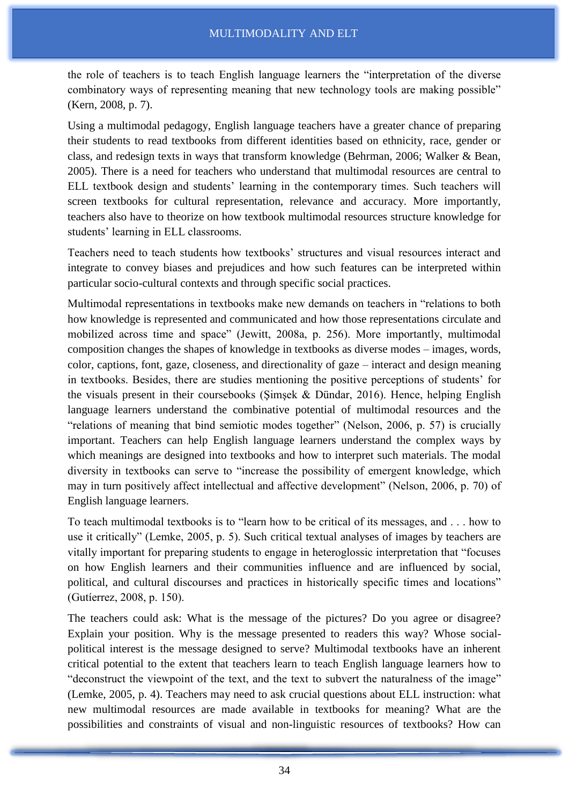the role of teachers is to teach English language learners the "interpretation of the diverse combinatory ways of representing meaning that new technology tools are making possible" (Kern, 2008, p. 7).

Using a multimodal pedagogy, English language teachers have a greater chance of preparing their students to read textbooks from different identities based on ethnicity, race, gender or class, and redesign texts in ways that transform knowledge (Behrman, 2006; Walker & Bean, 2005). There is a need for teachers who understand that multimodal resources are central to ELL textbook design and students' learning in the contemporary times. Such teachers will screen textbooks for cultural representation, relevance and accuracy. More importantly, teachers also have to theorize on how textbook multimodal resources structure knowledge for students' learning in ELL classrooms.

Teachers need to teach students how textbooks' structures and visual resources interact and integrate to convey biases and prejudices and how such features can be interpreted within particular socio-cultural contexts and through specific social practices.

Multimodal representations in textbooks make new demands on teachers in "relations to both how knowledge is represented and communicated and how those representations circulate and mobilized across time and space" (Jewitt, 2008a, p. 256). More importantly, multimodal composition changes the shapes of knowledge in textbooks as diverse modes – images, words, color, captions, font, gaze, closeness, and directionality of gaze – interact and design meaning in textbooks. Besides, there are studies mentioning the positive perceptions of students' for the visuals present in their coursebooks (Şimşek & Dündar, 2016). Hence, helping English language learners understand the combinative potential of multimodal resources and the "relations of meaning that bind semiotic modes together" (Nelson, 2006, p. 57) is crucially important. Teachers can help English language learners understand the complex ways by which meanings are designed into textbooks and how to interpret such materials. The modal diversity in textbooks can serve to "increase the possibility of emergent knowledge, which may in turn positively affect intellectual and affective development" (Nelson, 2006, p. 70) of English language learners.

To teach multimodal textbooks is to "learn how to be critical of its messages, and . . . how to use it critically" (Lemke, 2005, p. 5). Such critical textual analyses of images by teachers are vitally important for preparing students to engage in heteroglossic interpretation that "focuses on how English learners and their communities influence and are influenced by social, political, and cultural discourses and practices in historically specific times and locations" (Gutíerrez, 2008, p. 150).

The teachers could ask: What is the message of the pictures? Do you agree or disagree? Explain your position. Why is the message presented to readers this way? Whose socialpolitical interest is the message designed to serve? Multimodal textbooks have an inherent critical potential to the extent that teachers learn to teach English language learners how to "deconstruct the viewpoint of the text, and the text to subvert the naturalness of the image" (Lemke, 2005, p. 4). Teachers may need to ask crucial questions about ELL instruction: what new multimodal resources are made available in textbooks for meaning? What are the possibilities and constraints of visual and non-linguistic resources of textbooks? How can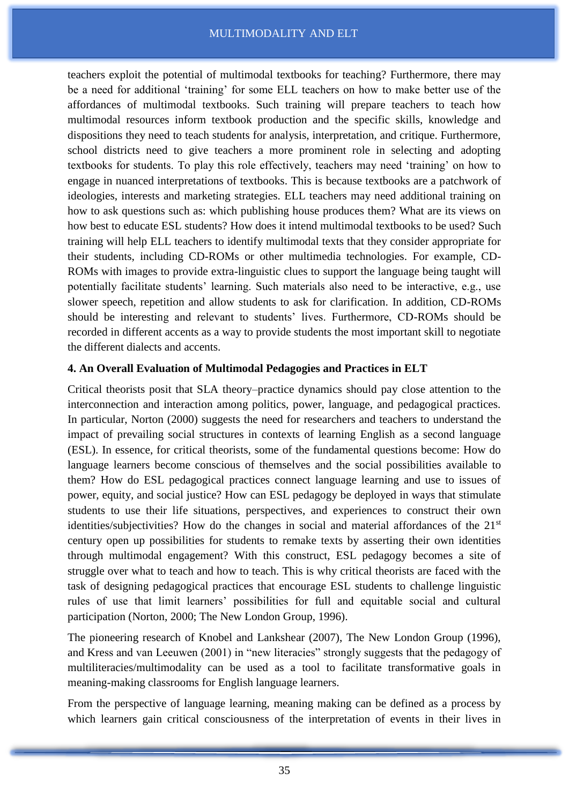teachers exploit the potential of multimodal textbooks for teaching? Furthermore, there may be a need for additional 'training' for some ELL teachers on how to make better use of the affordances of multimodal textbooks. Such training will prepare teachers to teach how multimodal resources inform textbook production and the specific skills, knowledge and dispositions they need to teach students for analysis, interpretation, and critique. Furthermore, school districts need to give teachers a more prominent role in selecting and adopting textbooks for students. To play this role effectively, teachers may need 'training' on how to engage in nuanced interpretations of textbooks. This is because textbooks are a patchwork of ideologies, interests and marketing strategies. ELL teachers may need additional training on how to ask questions such as: which publishing house produces them? What are its views on how best to educate ESL students? How does it intend multimodal textbooks to be used? Such training will help ELL teachers to identify multimodal texts that they consider appropriate for their students, including CD-ROMs or other multimedia technologies. For example, CD-ROMs with images to provide extra-linguistic clues to support the language being taught will potentially facilitate students' learning. Such materials also need to be interactive, e.g., use slower speech, repetition and allow students to ask for clarification. In addition, CD-ROMs should be interesting and relevant to students' lives. Furthermore, CD-ROMs should be recorded in different accents as a way to provide students the most important skill to negotiate the different dialects and accents.

# **4. An Overall Evaluation of Multimodal Pedagogies and Practices in ELT**

Critical theorists posit that SLA theory–practice dynamics should pay close attention to the interconnection and interaction among politics, power, language, and pedagogical practices. In particular, Norton (2000) suggests the need for researchers and teachers to understand the impact of prevailing social structures in contexts of learning English as a second language (ESL). In essence, for critical theorists, some of the fundamental questions become: How do language learners become conscious of themselves and the social possibilities available to them? How do ESL pedagogical practices connect language learning and use to issues of power, equity, and social justice? How can ESL pedagogy be deployed in ways that stimulate students to use their life situations, perspectives, and experiences to construct their own identities/subjectivities? How do the changes in social and material affordances of the  $21<sup>st</sup>$ century open up possibilities for students to remake texts by asserting their own identities through multimodal engagement? With this construct, ESL pedagogy becomes a site of struggle over what to teach and how to teach. This is why critical theorists are faced with the task of designing pedagogical practices that encourage ESL students to challenge linguistic rules of use that limit learners' possibilities for full and equitable social and cultural participation (Norton, 2000; The New London Group, 1996).

The pioneering research of Knobel and Lankshear (2007), The New London Group (1996), and Kress and van Leeuwen (2001) in "new literacies" strongly suggests that the pedagogy of multiliteracies/multimodality can be used as a tool to facilitate transformative goals in meaning-making classrooms for English language learners.

From the perspective of language learning, meaning making can be defined as a process by which learners gain critical consciousness of the interpretation of events in their lives in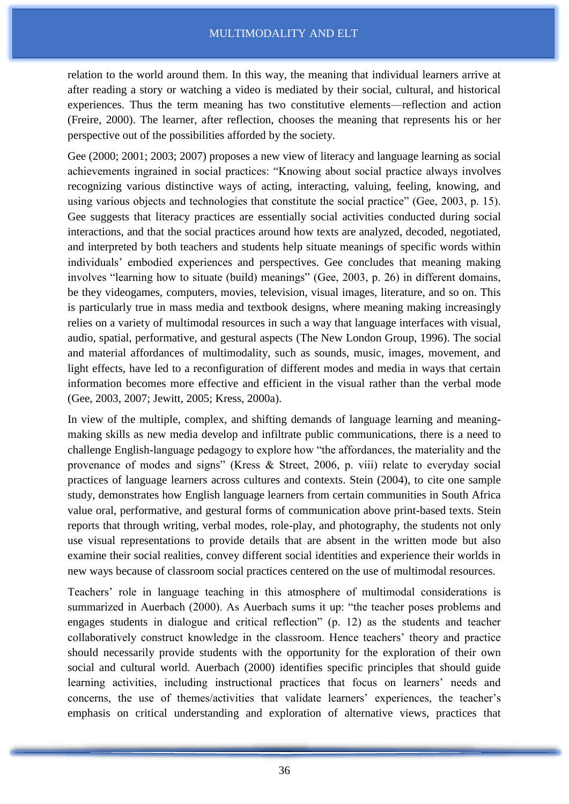relation to the world around them. In this way, the meaning that individual learners arrive at after reading a story or watching a video is mediated by their social, cultural, and historical experiences. Thus the term meaning has two constitutive elements—reflection and action (Freire, 2000). The learner, after reflection, chooses the meaning that represents his or her perspective out of the possibilities afforded by the society.

Gee (2000; 2001; 2003; 2007) proposes a new view of literacy and language learning as social achievements ingrained in social practices: "Knowing about social practice always involves recognizing various distinctive ways of acting, interacting, valuing, feeling, knowing, and using various objects and technologies that constitute the social practice" (Gee, 2003, p. 15). Gee suggests that literacy practices are essentially social activities conducted during social interactions, and that the social practices around how texts are analyzed, decoded, negotiated, and interpreted by both teachers and students help situate meanings of specific words within individuals' embodied experiences and perspectives. Gee concludes that meaning making involves "learning how to situate (build) meanings" (Gee, 2003, p. 26) in different domains, be they videogames, computers, movies, television, visual images, literature, and so on. This is particularly true in mass media and textbook designs, where meaning making increasingly relies on a variety of multimodal resources in such a way that language interfaces with visual, audio, spatial, performative, and gestural aspects (The New London Group, 1996). The social and material affordances of multimodality, such as sounds, music, images, movement, and light effects, have led to a reconfiguration of different modes and media in ways that certain information becomes more effective and efficient in the visual rather than the verbal mode (Gee, 2003, 2007; Jewitt, 2005; Kress, 2000a).

In view of the multiple, complex, and shifting demands of language learning and meaningmaking skills as new media develop and infiltrate public communications, there is a need to challenge English-language pedagogy to explore how "the affordances, the materiality and the provenance of modes and signs" (Kress & Street, 2006, p. viii) relate to everyday social practices of language learners across cultures and contexts. Stein (2004), to cite one sample study, demonstrates how English language learners from certain communities in South Africa value oral, performative, and gestural forms of communication above print-based texts. Stein reports that through writing, verbal modes, role-play, and photography, the students not only use visual representations to provide details that are absent in the written mode but also examine their social realities, convey different social identities and experience their worlds in new ways because of classroom social practices centered on the use of multimodal resources.

Teachers' role in language teaching in this atmosphere of multimodal considerations is summarized in Auerbach (2000). As Auerbach sums it up: "the teacher poses problems and engages students in dialogue and critical reflection" (p. 12) as the students and teacher collaboratively construct knowledge in the classroom. Hence teachers' theory and practice should necessarily provide students with the opportunity for the exploration of their own social and cultural world. Auerbach (2000) identifies specific principles that should guide learning activities, including instructional practices that focus on learners' needs and concerns, the use of themes/activities that validate learners' experiences, the teacher's emphasis on critical understanding and exploration of alternative views, practices that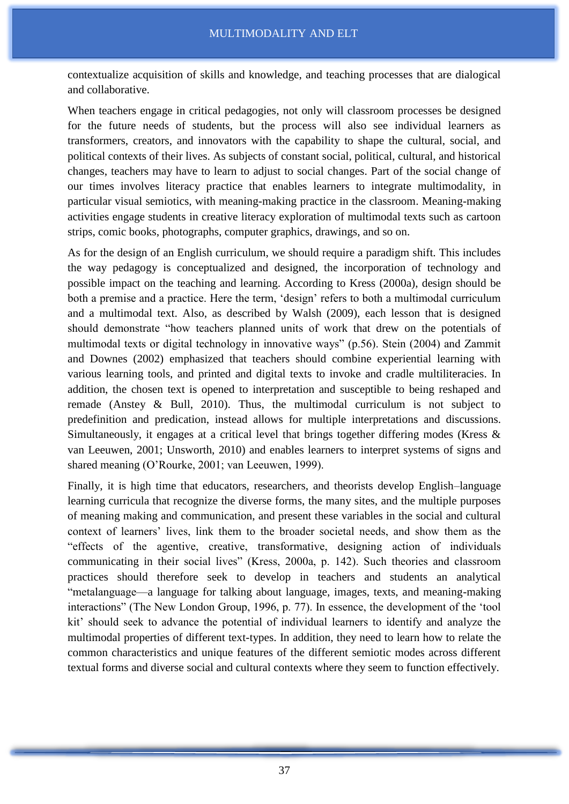contextualize acquisition of skills and knowledge, and teaching processes that are dialogical and collaborative.

When teachers engage in critical pedagogies, not only will classroom processes be designed for the future needs of students, but the process will also see individual learners as transformers, creators, and innovators with the capability to shape the cultural, social, and political contexts of their lives. As subjects of constant social, political, cultural, and historical changes, teachers may have to learn to adjust to social changes. Part of the social change of our times involves literacy practice that enables learners to integrate multimodality, in particular visual semiotics, with meaning-making practice in the classroom. Meaning-making activities engage students in creative literacy exploration of multimodal texts such as cartoon strips, comic books, photographs, computer graphics, drawings, and so on.

As for the design of an English curriculum, we should require a paradigm shift. This includes the way pedagogy is conceptualized and designed, the incorporation of technology and possible impact on the teaching and learning. According to Kress (2000a), design should be both a premise and a practice. Here the term, 'design' refers to both a multimodal curriculum and a multimodal text. Also, as described by Walsh (2009), each lesson that is designed should demonstrate "how teachers planned units of work that drew on the potentials of multimodal texts or digital technology in innovative ways" (p.56). Stein (2004) and Zammit and Downes (2002) emphasized that teachers should combine experiential learning with various learning tools, and printed and digital texts to invoke and cradle multiliteracies. In addition, the chosen text is opened to interpretation and susceptible to being reshaped and remade (Anstey & Bull, 2010). Thus, the multimodal curriculum is not subject to predefinition and predication, instead allows for multiple interpretations and discussions. Simultaneously, it engages at a critical level that brings together differing modes (Kress & van Leeuwen, 2001; Unsworth, 2010) and enables learners to interpret systems of signs and shared meaning (O'Rourke, 2001; van Leeuwen, 1999).

Finally, it is high time that educators, researchers, and theorists develop English–language learning curricula that recognize the diverse forms, the many sites, and the multiple purposes of meaning making and communication, and present these variables in the social and cultural context of learners' lives, link them to the broader societal needs, and show them as the "effects of the agentive, creative, transformative, designing action of individuals communicating in their social lives" (Kress, 2000a, p. 142). Such theories and classroom practices should therefore seek to develop in teachers and students an analytical "metalanguage—a language for talking about language, images, texts, and meaning-making interactions" (The New London Group, 1996, p. 77). In essence, the development of the 'tool kit' should seek to advance the potential of individual learners to identify and analyze the multimodal properties of different text-types. In addition, they need to learn how to relate the common characteristics and unique features of the different semiotic modes across different textual forms and diverse social and cultural contexts where they seem to function effectively.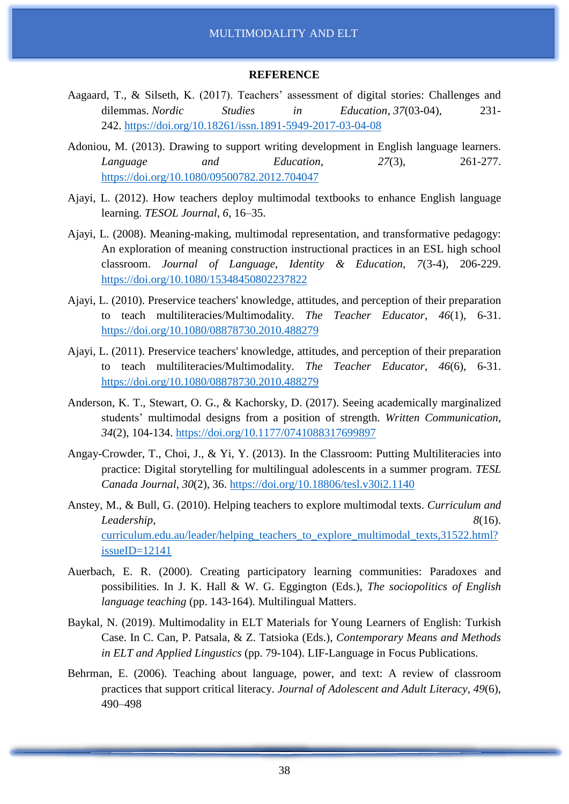#### **REFERENCE**

- Aagaard, T., & Silseth, K. (2017). Teachers' assessment of digital stories: Challenges and dilemmas. *Nordic Studies in Education*, *37*(03-04), 231- 242. <https://doi.org/10.18261/issn.1891-5949-2017-03-04-08>
- Adoniou, M. (2013). Drawing to support writing development in English language learners. *Language and Education*, *27*(3), 261-277. <https://doi.org/10.1080/09500782.2012.704047>
- Ajayi, L. (2012). How teachers deploy multimodal textbooks to enhance English language learning. *TESOL Journal, 6*, 16–35.
- Ajayi, L. (2008). Meaning-making, multimodal representation, and transformative pedagogy: An exploration of meaning construction instructional practices in an ESL high school classroom. *Journal of Language, Identity & Education*, *7*(3-4), 206-229. <https://doi.org/10.1080/15348450802237822>
- Ajayi, L. (2010). Preservice teachers' knowledge, attitudes, and perception of their preparation to teach multiliteracies/Multimodality. *The Teacher Educator*, *46*(1), 6-31. <https://doi.org/10.1080/08878730.2010.488279>
- Ajayi, L. (2011). Preservice teachers' knowledge, attitudes, and perception of their preparation to teach multiliteracies/Multimodality. *The Teacher Educator*, *46*(6), 6-31. <https://doi.org/10.1080/08878730.2010.488279>
- Anderson, K. T., Stewart, O. G., & Kachorsky, D. (2017). Seeing academically marginalized students' multimodal designs from a position of strength. *Written Communication*, *34*(2), 104-134. <https://doi.org/10.1177/0741088317699897>
- Angay-Crowder, T., Choi, J., & Yi, Y. (2013). In the Classroom: Putting Multiliteracies into practice: Digital storytelling for multilingual adolescents in a summer program. *TESL Canada Journal*, *30*(2), 36. <https://doi.org/10.18806/tesl.v30i2.1140>
- Anstey, M., & Bull, G. (2010). Helping teachers to explore multimodal texts. *Curriculum and Leadership*, *8*(16). [curriculum.edu.au/leader/helping\\_teachers\\_to\\_explore\\_multimodal\\_texts,31522.html?](https://www.citefast.com/curriculum.edu.au/leader/helping_teachers_to_explore_multimodal_texts,31522.html?issueID=12141) [issueID=12141](https://www.citefast.com/curriculum.edu.au/leader/helping_teachers_to_explore_multimodal_texts,31522.html?issueID=12141)
- Auerbach, E. R. (2000). Creating participatory learning communities: Paradoxes and possibilities. In J. K. Hall & W. G. Eggington (Eds.), *The sociopolitics of English language teaching* (pp. 143-164). Multilingual Matters.
- Baykal, N. (2019). Multimodality in ELT Materials for Young Learners of English: Turkish Case. In C. Can, P. Patsala, & Z. Tatsioka (Eds.), *Contemporary Means and Methods in ELT and Applied Lingustics* (pp. 79-104). LIF-Language in Focus Publications.
- Behrman, E. (2006). Teaching about language, power, and text: A review of classroom practices that support critical literacy. *Journal of Adolescent and Adult Literacy, 49*(6), 490–498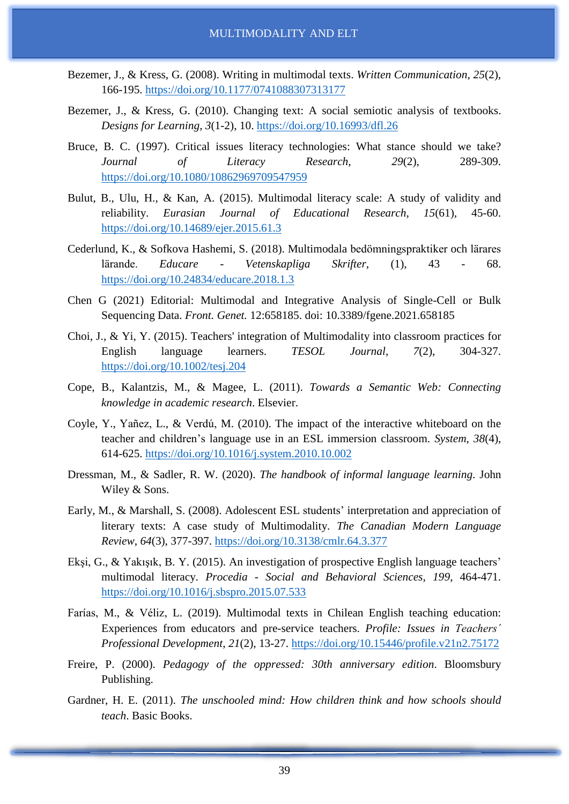- Bezemer, J., & Kress, G. (2008). Writing in multimodal texts. *Written Communication*, *25*(2), 166-195. <https://doi.org/10.1177/0741088307313177>
- Bezemer, J., & Kress, G. (2010). Changing text: A social semiotic analysis of textbooks. *Designs for Learning*, *3*(1-2), 10. <https://doi.org/10.16993/dfl.26>
- Bruce, B. C. (1997). Critical issues literacy technologies: What stance should we take? *Journal of Literacy Research*, *29*(2), 289-309. <https://doi.org/10.1080/10862969709547959>
- Bulut, B., Ulu, H., & Kan, A. (2015). Multimodal literacy scale: A study of validity and reliability. *Eurasian Journal of Educational Research*, *15*(61), 45-60. <https://doi.org/10.14689/ejer.2015.61.3>
- Cederlund, K., & Sofkova Hashemi, S. (2018). Multimodala bedömningspraktiker och lärares lärande. *Educare - Vetenskapliga Skrifter*, (1), 43 - 68. <https://doi.org/10.24834/educare.2018.1.3>
- Chen G (2021) Editorial: Multimodal and Integrative Analysis of Single-Cell or Bulk Sequencing Data. *Front. Genet.* 12:658185. doi: 10.3389/fgene.2021.658185
- Choi, J., & Yi, Y. (2015). Teachers' integration of Multimodality into classroom practices for English language learners. *TESOL Journal*, *7*(2), 304-327. <https://doi.org/10.1002/tesj.204>
- Cope, B., Kalantzis, M., & Magee, L. (2011). *Towards a Semantic Web: Connecting knowledge in academic research*. Elsevier.
- Coyle, Y., Yañez, L., & Verdú, M. (2010). The impact of the interactive whiteboard on the teacher and children's language use in an ESL immersion classroom. *System*, *38*(4), 614-625. <https://doi.org/10.1016/j.system.2010.10.002>
- Dressman, M., & Sadler, R. W. (2020). *The handbook of informal language learning*. John Wiley & Sons.
- Early, M., & Marshall, S. (2008). Adolescent ESL students' interpretation and appreciation of literary texts: A case study of Multimodality. *The Canadian Modern Language Review*, *64*(3), 377-397. <https://doi.org/10.3138/cmlr.64.3.377>
- Ekşi, G., & Yakışık, B. Y. (2015). An investigation of prospective English language teachers' multimodal literacy. *Procedia - Social and Behavioral Sciences*, *199*, 464-471. <https://doi.org/10.1016/j.sbspro.2015.07.533>
- Farías, M., & Véliz, L. (2019). Multimodal texts in Chilean English teaching education: Experiences from educators and pre-service teachers. *Profile: Issues in Teachers´ Professional Development*, *21*(2), 13-27. <https://doi.org/10.15446/profile.v21n2.75172>
- Freire, P. (2000). *Pedagogy of the oppressed: 30th anniversary edition*. Bloomsbury Publishing.
- Gardner, H. E. (2011). *The unschooled mind: How children think and how schools should teach*. Basic Books.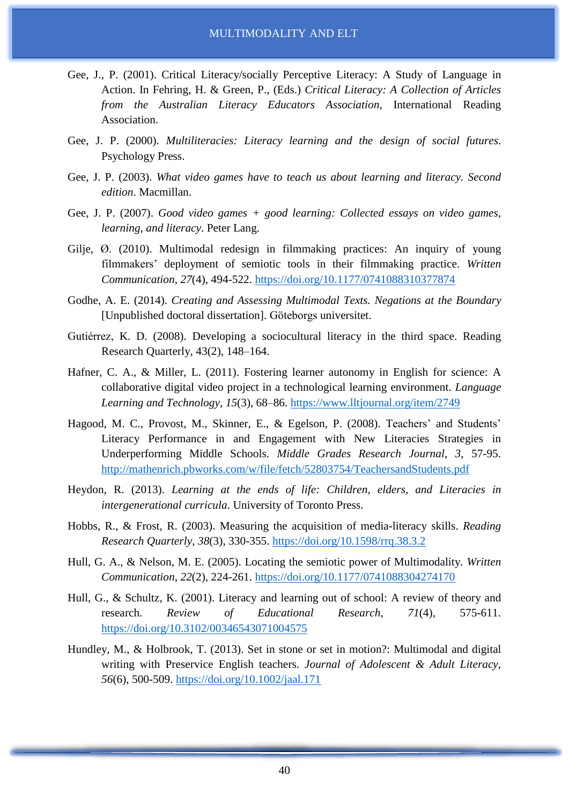- Gee, J., P. (2001). Critical Literacy/socially Perceptive Literacy: A Study of Language in Action. In Fehring, H. & Green, P., (Eds.) *Critical Literacy: A Collection of Articles from the Australian Literacy Educators Association*, International Reading Association.
- Gee, J. P. (2000). *Multiliteracies: Literacy learning and the design of social futures*. Psychology Press.
- Gee, J. P. (2003). *What video games have to teach us about learning and literacy. Second edition*. Macmillan.
- Gee, J. P. (2007). *Good video games + good learning: Collected essays on video games, learning, and literacy*. Peter Lang.
- Gilje, Ø. (2010). Multimodal redesign in filmmaking practices: An inquiry of young filmmakers' deployment of semiotic tools in their filmmaking practice. *Written Communication*, *27*(4), 494-522. <https://doi.org/10.1177/0741088310377874>
- Godhe, A. E. (2014). *Creating and Assessing Multimodal Texts. Negations at the Boundary* [Unpublished doctoral dissertation]. Göteborgs universitet.
- Gutiérrez, K. D. (2008). Developing a sociocultural literacy in the third space. Reading Research Quarterly, 43(2), 148–164.
- Hafner, C. A., & Miller, L. (2011). Fostering learner autonomy in English for science: A collaborative digital video project in a technological learning environment. *Language Learning and Technology*, *15*(3), 68–86. <https://www.lltjournal.org/item/2749>
- Hagood, M. C., Provost, M., Skinner, E., & Egelson, P. (2008). Teachers' and Students' Literacy Performance in and Engagement with New Literacies Strategies in Underperforming Middle Schools. *Middle Grades Research Journal*, *3*, 57-95. <http://mathenrich.pbworks.com/w/file/fetch/52803754/TeachersandStudents.pdf>
- Heydon, R. (2013). *Learning at the ends of life: Children, elders, and Literacies in intergenerational curricula*. University of Toronto Press.
- Hobbs, R., & Frost, R. (2003). Measuring the acquisition of media-literacy skills. *Reading Research Quarterly*, *38*(3), 330-355. <https://doi.org/10.1598/rrq.38.3.2>
- Hull, G. A., & Nelson, M. E. (2005). Locating the semiotic power of Multimodality. *Written Communication*, *22*(2), 224-261. <https://doi.org/10.1177/0741088304274170>
- Hull, G., & Schultz, K. (2001). Literacy and learning out of school: A review of theory and research. *Review of Educational Research*, *71*(4), 575-611. <https://doi.org/10.3102/00346543071004575>
- Hundley, M., & Holbrook, T. (2013). Set in stone or set in motion?: Multimodal and digital writing with Preservice English teachers. *Journal of Adolescent & Adult Literacy*, *56*(6), 500-509. <https://doi.org/10.1002/jaal.171>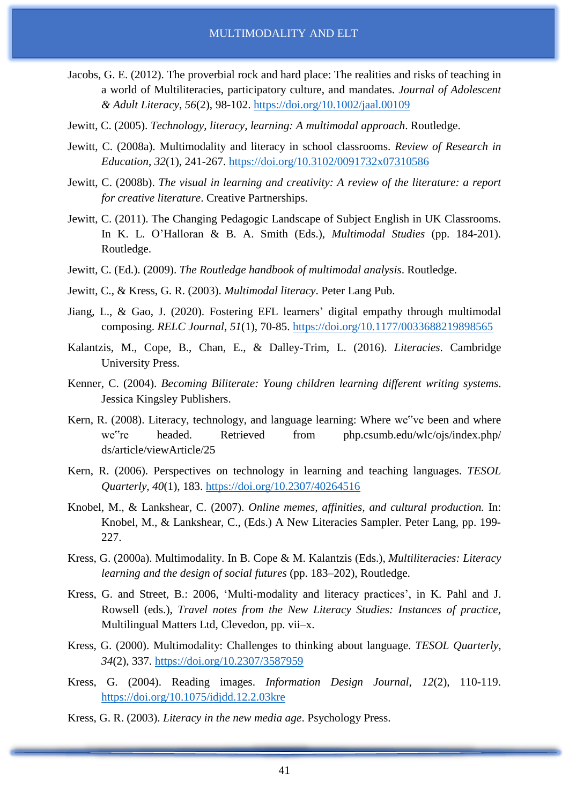- Jacobs, G. E. (2012). The proverbial rock and hard place: The realities and risks of teaching in a world of Multiliteracies, participatory culture, and mandates. *Journal of Adolescent & Adult Literacy*, *56*(2), 98-102. <https://doi.org/10.1002/jaal.00109>
- Jewitt, C. (2005). *Technology, literacy, learning: A multimodal approach*. Routledge.
- Jewitt, C. (2008a). Multimodality and literacy in school classrooms. *Review of Research in Education*, *32*(1), 241-267. <https://doi.org/10.3102/0091732x07310586>
- Jewitt, C. (2008b). *The visual in learning and creativity: A review of the literature: a report for creative literature*. Creative Partnerships.
- Jewitt, C. (2011). The Changing Pedagogic Landscape of Subject English in UK Classrooms. In K. L. O'Halloran & B. A. Smith (Eds.), *Multimodal Studies* (pp. 184-201). Routledge.
- Jewitt, C. (Ed.). (2009). *The Routledge handbook of multimodal analysis*. Routledge.
- Jewitt, C., & Kress, G. R. (2003). *Multimodal literacy*. Peter Lang Pub.
- Jiang, L., & Gao, J. (2020). Fostering EFL learners' digital empathy through multimodal composing. *RELC Journal*, *51*(1), 70-85. <https://doi.org/10.1177/0033688219898565>
- Kalantzis, M., Cope, B., Chan, E., & Dalley-Trim, L. (2016). *Literacies*. Cambridge University Press.
- Kenner, C. (2004). *Becoming Biliterate: Young children learning different writing systems*. Jessica Kingsley Publishers.
- Kern, R. (2008). Literacy, technology, and language learning: Where we"ve been and where we"re headed. Retrieved from php.csumb.edu/wlc/ojs/index.php/ ds/article/viewArticle/25
- Kern, R. (2006). Perspectives on technology in learning and teaching languages. *TESOL Quarterly*, *40*(1), 183. <https://doi.org/10.2307/40264516>
- Knobel, M., & Lankshear, C. (2007). *Online memes, affinities, and cultural production.* In: Knobel, M., & Lankshear, C., (Eds.) A New Literacies Sampler. Peter Lang, pp. 199- 227.
- Kress, G. (2000a). Multimodality. In B. Cope & M. Kalantzis (Eds.), *Multiliteracies: Literacy learning and the design of social futures* (pp. 183–202), Routledge.
- Kress, G. and Street, B.: 2006, 'Multi‐modality and literacy practices', in K. Pahl and J. Rowsell (eds.), *Travel notes from the New Literacy Studies: Instances of practice*, Multilingual Matters Ltd, Clevedon, pp. vii–x.
- Kress, G. (2000). Multimodality: Challenges to thinking about language. *TESOL Quarterly*, *34*(2), 337. <https://doi.org/10.2307/3587959>
- Kress, G. (2004). Reading images. *Information Design Journal*, *12*(2), 110-119. <https://doi.org/10.1075/idjdd.12.2.03kre>
- Kress, G. R. (2003). *Literacy in the new media age*. Psychology Press.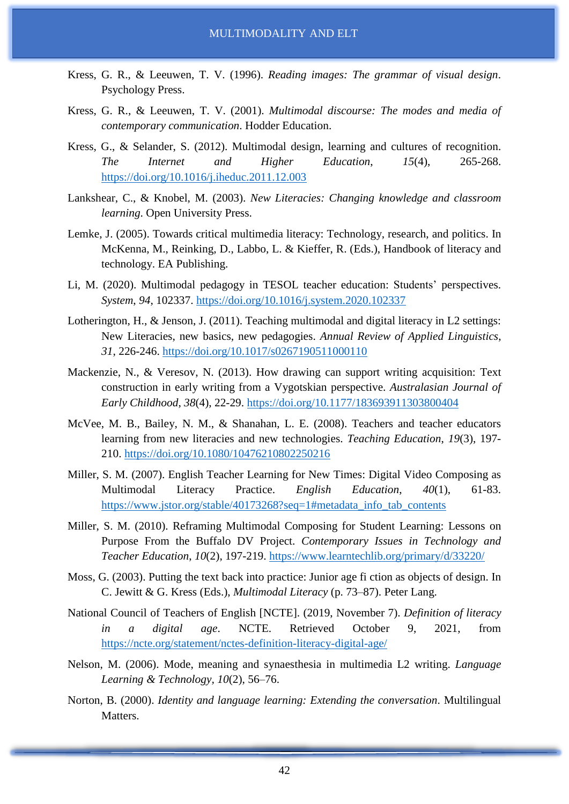- Kress, G. R., & Leeuwen, T. V. (1996). *Reading images: The grammar of visual design*. Psychology Press.
- Kress, G. R., & Leeuwen, T. V. (2001). *Multimodal discourse: The modes and media of contemporary communication*. Hodder Education.
- Kress, G., & Selander, S. (2012). Multimodal design, learning and cultures of recognition. *The Internet and Higher Education*, *15*(4), 265-268. <https://doi.org/10.1016/j.iheduc.2011.12.003>
- Lankshear, C., & Knobel, M. (2003). *New Literacies: Changing knowledge and classroom learning*. Open University Press.
- Lemke, J. (2005). Towards critical multimedia literacy: Technology, research, and politics. In McKenna, M., Reinking, D., Labbo, L. & Kieffer, R. (Eds.), Handbook of literacy and technology. EA Publishing.
- Li, M. (2020). Multimodal pedagogy in TESOL teacher education: Students' perspectives. *System*, *94*, 102337. <https://doi.org/10.1016/j.system.2020.102337>
- Lotherington, H., & Jenson, J. (2011). Teaching multimodal and digital literacy in L2 settings: New Literacies, new basics, new pedagogies. *Annual Review of Applied Linguistics*, *31*, 226-246. <https://doi.org/10.1017/s0267190511000110>
- Mackenzie, N., & Veresov, N. (2013). How drawing can support writing acquisition: Text construction in early writing from a Vygotskian perspective. *Australasian Journal of Early Childhood*, *38*(4), 22-29. <https://doi.org/10.1177/183693911303800404>
- McVee, M. B., Bailey, N. M., & Shanahan, L. E. (2008). Teachers and teacher educators learning from new literacies and new technologies. *Teaching Education*, *19*(3), 197- 210. <https://doi.org/10.1080/10476210802250216>
- Miller, S. M. (2007). English Teacher Learning for New Times: Digital Video Composing as Multimodal Literacy Practice. *English Education*, *40*(1), 61-83. [https://www.jstor.org/stable/40173268?seq=1#metadata\\_info\\_tab\\_contents](https://www.jstor.org/stable/40173268?seq=1#metadata_info_tab_contents)
- Miller, S. M. (2010). Reframing Multimodal Composing for Student Learning: Lessons on Purpose From the Buffalo DV Project. *Contemporary Issues in Technology and Teacher Education*, *10*(2), 197-219. <https://www.learntechlib.org/primary/d/33220/>
- Moss, G. (2003). Putting the text back into practice: Junior age fi ction as objects of design. In C. Jewitt & G. Kress (Eds.), *Multimodal Literacy* (p. 73–87). Peter Lang.
- National Council of Teachers of English [NCTE]. (2019, November 7). *Definition of literacy in a digital age*. NCTE. Retrieved October 9, 2021, from <https://ncte.org/statement/nctes-definition-literacy-digital-age/>
- Nelson, M. (2006). Mode, meaning and synaesthesia in multimedia L2 writing. *Language Learning & Technology, 10*(2), 56–76.
- Norton, B. (2000). *Identity and language learning: Extending the conversation*. Multilingual Matters.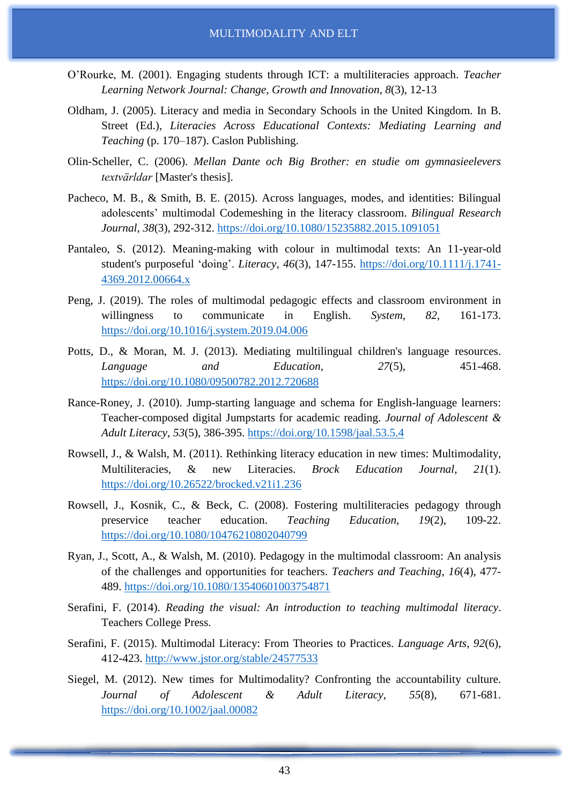- O'Rourke, M. (2001). Engaging students through ICT: a multiliteracies approach. *Teacher Learning Network Journal: Change, Growth and Innovation, 8*(3), 12-13
- Oldham, J. (2005). Literacy and media in Secondary Schools in the United Kingdom. In B. Street (Ed.), *Literacies Across Educational Contexts: Mediating Learning and Teaching* (p. 170–187). Caslon Publishing.
- Olin-Scheller, C. (2006). *Mellan Dante och Big Brother: en studie om gymnasieelevers textvärldar* [Master's thesis].
- Pacheco, M. B., & Smith, B. E. (2015). Across languages, modes, and identities: Bilingual adolescents' multimodal Codemeshing in the literacy classroom. *Bilingual Research Journal*, *38*(3), 292-312. <https://doi.org/10.1080/15235882.2015.1091051>
- Pantaleo, S. (2012). Meaning-making with colour in multimodal texts: An 11-year-old student's purposeful 'doing'. *Literacy*, *46*(3), 147-155. [https://doi.org/10.1111/j.1741-](https://doi.org/10.1111/j.1741-4369.2012.00664.x) [4369.2012.00664.x](https://doi.org/10.1111/j.1741-4369.2012.00664.x)
- Peng, J. (2019). The roles of multimodal pedagogic effects and classroom environment in willingness to communicate in English. *System*, *82*, 161-173. <https://doi.org/10.1016/j.system.2019.04.006>
- Potts, D., & Moran, M. J. (2013). Mediating multilingual children's language resources. *Language and Education*, *27*(5), 451-468. <https://doi.org/10.1080/09500782.2012.720688>
- Rance-Roney, J. (2010). Jump-starting language and schema for English-language learners: Teacher-composed digital Jumpstarts for academic reading. *Journal of Adolescent & Adult Literacy*, *53*(5), 386-395. <https://doi.org/10.1598/jaal.53.5.4>
- Rowsell, J., & Walsh, M. (2011). Rethinking literacy education in new times: Multimodality, Multiliteracies, & new Literacies. *Brock Education Journal*, *21*(1). <https://doi.org/10.26522/brocked.v21i1.236>
- Rowsell, J., Kosnik, C., & Beck, C. (2008). Fostering multiliteracies pedagogy through preservice teacher education. *Teaching Education*, *19*(2), 109-22. <https://doi.org/10.1080/10476210802040799>
- Ryan, J., Scott, A., & Walsh, M. (2010). Pedagogy in the multimodal classroom: An analysis of the challenges and opportunities for teachers. *Teachers and Teaching*, *16*(4), 477- 489. <https://doi.org/10.1080/13540601003754871>
- Serafini, F. (2014). *Reading the visual: An introduction to teaching multimodal literacy*. Teachers College Press.
- Serafini, F. (2015). Multimodal Literacy: From Theories to Practices. *Language Arts*, *92*(6), 412-423. <http://www.jstor.org/stable/24577533>
- Siegel, M. (2012). New times for Multimodality? Confronting the accountability culture. *Journal of Adolescent & Adult Literacy*, *55*(8), 671-681. <https://doi.org/10.1002/jaal.00082>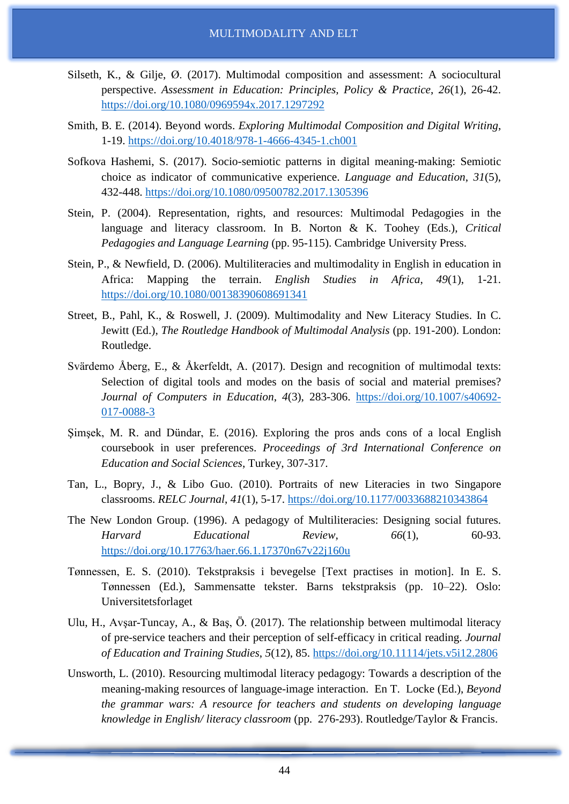- Silseth, K., & Gilje, Ø. (2017). Multimodal composition and assessment: A sociocultural perspective. *Assessment in Education: Principles, Policy & Practice*, *26*(1), 26-42. <https://doi.org/10.1080/0969594x.2017.1297292>
- Smith, B. E. (2014). Beyond words. *Exploring Multimodal Composition and Digital Writing*, 1-19. <https://doi.org/10.4018/978-1-4666-4345-1.ch001>
- Sofkova Hashemi, S. (2017). Socio-semiotic patterns in digital meaning-making: Semiotic choice as indicator of communicative experience. *Language and Education*, *31*(5), 432-448. <https://doi.org/10.1080/09500782.2017.1305396>
- Stein, P. (2004). Representation, rights, and resources: Multimodal Pedagogies in the language and literacy classroom. In B. Norton & K. Toohey (Eds.), *Critical Pedagogies and Language Learning* (pp. 95-115). Cambridge University Press.
- Stein, P., & Newfield, D. (2006). Multiliteracies and multimodality in English in education in Africa: Mapping the terrain. *English Studies in Africa*, *49*(1), 1-21. <https://doi.org/10.1080/00138390608691341>
- Street, B., Pahl, K., & Roswell, J. (2009). Multimodality and New Literacy Studies. In C. Jewitt (Ed.), *The Routledge Handbook of Multimodal Analysis* (pp. 191-200). London: Routledge.
- Svärdemo Åberg, E., & Åkerfeldt, A. (2017). Design and recognition of multimodal texts: Selection of digital tools and modes on the basis of social and material premises? *Journal of Computers in Education*, *4*(3), 283-306. [https://doi.org/10.1007/s40692-](https://doi.org/10.1007/s40692-017-0088-3) [017-0088-3](https://doi.org/10.1007/s40692-017-0088-3)
- Şimşek, M. R. and Dündar, E. (2016). Exploring the pros ands cons of a local English coursebook in user preferences. *Proceedings of 3rd International Conference on Education and Social Sciences*, Turkey, 307-317.
- Tan, L., Bopry, J., & Libo Guo. (2010). Portraits of new Literacies in two Singapore classrooms. *RELC Journal*, *41*(1), 5-17. <https://doi.org/10.1177/0033688210343864>
- The New London Group. (1996). A pedagogy of Multiliteracies: Designing social futures. *Harvard Educational Review*, *66*(1), 60-93. <https://doi.org/10.17763/haer.66.1.17370n67v22j160u>
- Tønnessen, E. S. (2010). Tekstpraksis i bevegelse [Text practises in motion]. In E. S. Tønnessen (Ed.), Sammensatte tekster. Barns tekstpraksis (pp. 10–22). Oslo: Universitetsforlaget
- Ulu, H., Avşar-Tuncay, A., & Baş, Ö. (2017). The relationship between multimodal literacy of pre-service teachers and their perception of self-efficacy in critical reading. *Journal of Education and Training Studies*, *5*(12), 85. <https://doi.org/10.11114/jets.v5i12.2806>
- Unsworth, L. (2010). Resourcing multimodal literacy pedagogy: Towards a description of the meaning-making resources of language-image interaction. En T. Locke (Ed.), *Beyond the grammar wars: A resource for teachers and students on developing language knowledge in English/ literacy classroom* (pp. 276-293). Routledge/Taylor & Francis.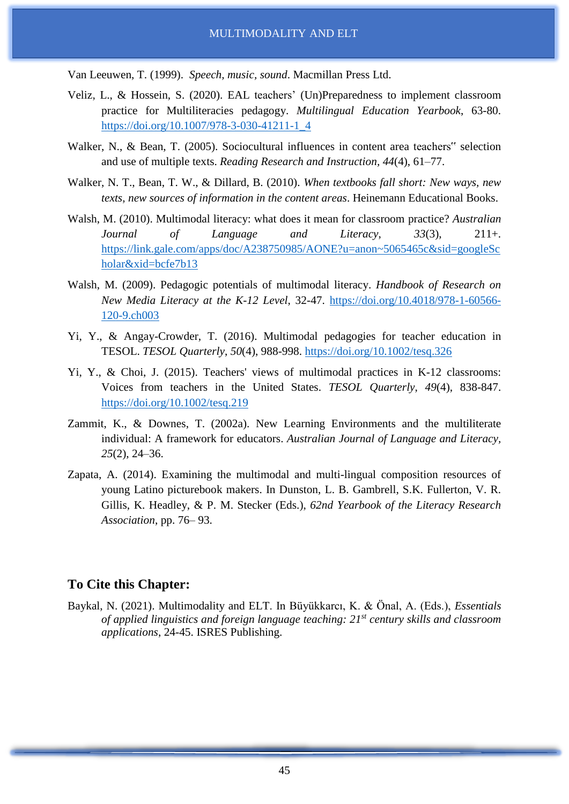Van Leeuwen, T. (1999). *Speech, music, sound*. Macmillan Press Ltd.

- Veliz, L., & Hossein, S. (2020). EAL teachers' (Un)Preparedness to implement classroom practice for Multiliteracies pedagogy. *Multilingual Education Yearbook*, 63-80. [https://doi.org/10.1007/978-3-030-41211-1\\_4](https://doi.org/10.1007/978-3-030-41211-1_4)
- Walker, N., & Bean, T. (2005). Sociocultural influences in content area teachers" selection and use of multiple texts. *Reading Research and Instruction, 44*(4), 61–77.
- Walker, N. T., Bean, T. W., & Dillard, B. (2010). *When textbooks fall short: New ways, new texts, new sources of information in the content areas*. Heinemann Educational Books.
- Walsh, M. (2010). Multimodal literacy: what does it mean for classroom practice? *Australian Journal of Language and Literacy*, *33*(3), 211+. [https://link.gale.com/apps/doc/A238750985/AONE?u=anon~5065465c&sid=googleSc](https://link.gale.com/apps/doc/A238750985/AONE?u=anon~5065465c&sid=googleScholar&xid=bcfe7b13) [holar&xid=bcfe7b13](https://link.gale.com/apps/doc/A238750985/AONE?u=anon~5065465c&sid=googleScholar&xid=bcfe7b13)
- Walsh, M. (2009). Pedagogic potentials of multimodal literacy. *Handbook of Research on New Media Literacy at the K-12 Level*, 32-47. [https://doi.org/10.4018/978-1-60566-](https://doi.org/10.4018/978-1-60566-120-9.ch003) [120-9.ch003](https://doi.org/10.4018/978-1-60566-120-9.ch003)
- Yi, Y., & Angay-Crowder, T. (2016). Multimodal pedagogies for teacher education in TESOL. *TESOL Quarterly*, *50*(4), 988-998. <https://doi.org/10.1002/tesq.326>
- Yi, Y., & Choi, J. (2015). Teachers' views of multimodal practices in K-12 classrooms: Voices from teachers in the United States. *TESOL Quarterly*, *49*(4), 838-847. <https://doi.org/10.1002/tesq.219>
- Zammit, K., & Downes, T. (2002a). New Learning Environments and the multiliterate individual: A framework for educators. *Australian Journal of Language and Literacy, 25*(2), 24–36.
- Zapata, A. (2014). Examining the multimodal and multi-lingual composition resources of young Latino picturebook makers. In Dunston, L. B. Gambrell, S.K. Fullerton, V. R. Gillis, K. Headley, & P. M. Stecker (Eds.), *62nd Yearbook of the Literacy Research Association*, pp. 76– 93.

# **To Cite this Chapter:**

Baykal, N. (2021). Multimodality and ELT. In Büyükkarcı, K. & Önal, A. (Eds.), *Essentials of applied linguistics and foreign language teaching: 21st century skills and classroom applications*, 24-45. ISRES Publishing.